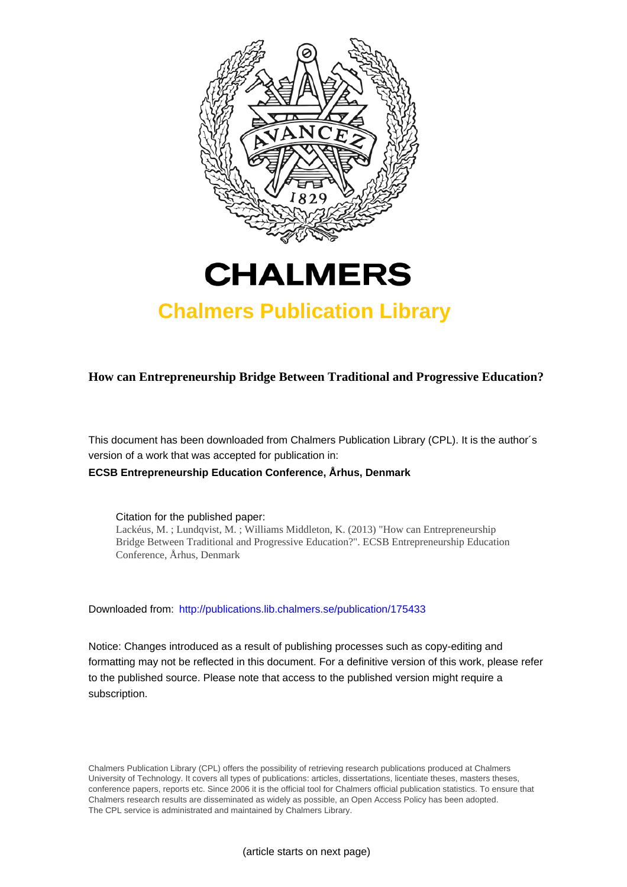



# **Chalmers Publication Library**

**How can Entrepreneurship Bridge Between Traditional and Progressive Education?**

This document has been downloaded from Chalmers Publication Library (CPL). It is the author´s version of a work that was accepted for publication in: **ECSB Entrepreneurship Education Conference, Århus, Denmark**

Citation for the published paper:

Lackéus, M. ; Lundqvist, M. ; Williams Middleton, K. (2013) "How can Entrepreneurship Bridge Between Traditional and Progressive Education?". ECSB Entrepreneurship Education Conference, Århus, Denmark

Downloaded from: <http://publications.lib.chalmers.se/publication/175433>

Notice: Changes introduced as a result of publishing processes such as copy-editing and formatting may not be reflected in this document. For a definitive version of this work, please refer to the published source. Please note that access to the published version might require a subscription.

Chalmers Publication Library (CPL) offers the possibility of retrieving research publications produced at Chalmers University of Technology. It covers all types of publications: articles, dissertations, licentiate theses, masters theses, conference papers, reports etc. Since 2006 it is the official tool for Chalmers official publication statistics. To ensure that Chalmers research results are disseminated as widely as possible, an Open Access Policy has been adopted. The CPL service is administrated and maintained by Chalmers Library.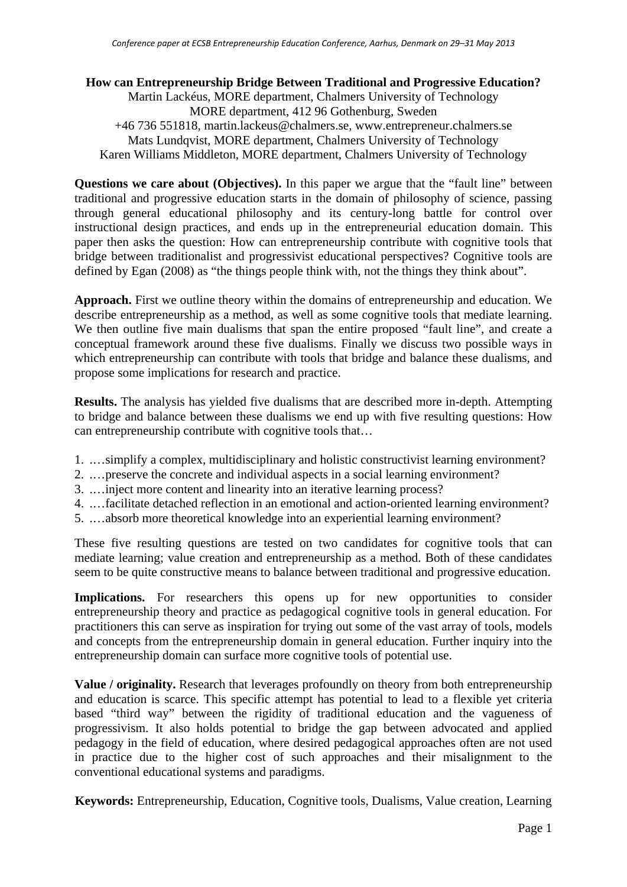# **How can Entrepreneurship Bridge Between Traditional and Progressive Education?**

Martin Lackéus, MORE department, Chalmers University of Technology MORE department, 412 96 Gothenburg, Sweden +46 736 551818, martin.lackeus@chalmers.se, www.entrepreneur.chalmers.se Mats Lundqvist, MORE department, Chalmers University of Technology Karen Williams Middleton, MORE department, Chalmers University of Technology

**Questions we care about (Objectives).** In this paper we argue that the "fault line" between traditional and progressive education starts in the domain of philosophy of science, passing through general educational philosophy and its century-long battle for control over instructional design practices, and ends up in the entrepreneurial education domain. This paper then asks the question: How can entrepreneurship contribute with cognitive tools that bridge between traditionalist and progressivist educational perspectives? Cognitive tools are defined by Egan (2008) as "the things people think with, not the things they think about".

**Approach.** First we outline theory within the domains of entrepreneurship and education. We describe entrepreneurship as a method, as well as some cognitive tools that mediate learning. We then outline five main dualisms that span the entire proposed "fault line", and create a conceptual framework around these five dualisms. Finally we discuss two possible ways in which entrepreneurship can contribute with tools that bridge and balance these dualisms, and propose some implications for research and practice.

**Results.** The analysis has yielded five dualisms that are described more in-depth. Attempting to bridge and balance between these dualisms we end up with five resulting questions: How can entrepreneurship contribute with cognitive tools that…

- 1. .…simplify a complex, multidisciplinary and holistic constructivist learning environment?
- 2. .…preserve the concrete and individual aspects in a social learning environment?
- 3. .…inject more content and linearity into an iterative learning process?
- 4. .…facilitate detached reflection in an emotional and action-oriented learning environment?
- 5. .…absorb more theoretical knowledge into an experiential learning environment?

These five resulting questions are tested on two candidates for cognitive tools that can mediate learning; value creation and entrepreneurship as a method. Both of these candidates seem to be quite constructive means to balance between traditional and progressive education.

Implications. For researchers this opens up for new opportunities to consider entrepreneurship theory and practice as pedagogical cognitive tools in general education. For practitioners this can serve as inspiration for trying out some of the vast array of tools, models and concepts from the entrepreneurship domain in general education. Further inquiry into the entrepreneurship domain can surface more cognitive tools of potential use.

**Value / originality.** Research that leverages profoundly on theory from both entrepreneurship and education is scarce. This specific attempt has potential to lead to a flexible yet criteria based "third way" between the rigidity of traditional education and the vagueness of progressivism. It also holds potential to bridge the gap between advocated and applied pedagogy in the field of education, where desired pedagogical approaches often are not used in practice due to the higher cost of such approaches and their misalignment to the conventional educational systems and paradigms.

**Keywords:** Entrepreneurship, Education, Cognitive tools, Dualisms, Value creation, Learning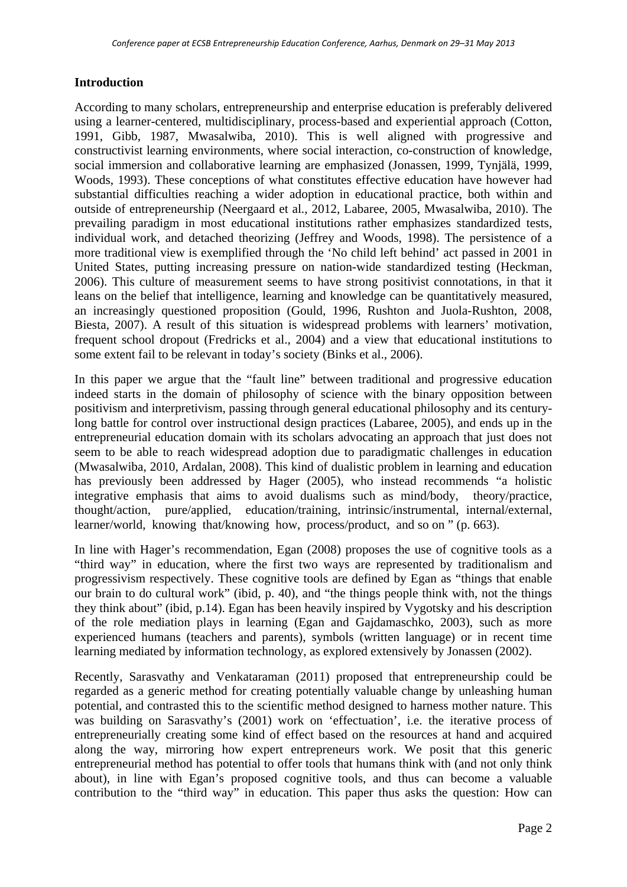# **Introduction**

According to many scholars, entrepreneurship and enterprise education is preferably delivered using a learner-centered, multidisciplinary, process-based and experiential approach (Cotton, 1991, Gibb, 1987, Mwasalwiba, 2010). This is well aligned with progressive and constructivist learning environments, where social interaction, co-construction of knowledge, social immersion and collaborative learning are emphasized (Jonassen, 1999, Tynjälä, 1999, Woods, 1993). These conceptions of what constitutes effective education have however had substantial difficulties reaching a wider adoption in educational practice, both within and outside of entrepreneurship (Neergaard et al., 2012, Labaree, 2005, Mwasalwiba, 2010). The prevailing paradigm in most educational institutions rather emphasizes standardized tests, individual work, and detached theorizing (Jeffrey and Woods, 1998). The persistence of a more traditional view is exemplified through the 'No child left behind' act passed in 2001 in United States, putting increasing pressure on nation-wide standardized testing (Heckman, 2006). This culture of measurement seems to have strong positivist connotations, in that it leans on the belief that intelligence, learning and knowledge can be quantitatively measured, an increasingly questioned proposition (Gould, 1996, Rushton and Juola-Rushton, 2008, Biesta, 2007). A result of this situation is widespread problems with learners' motivation, frequent school dropout (Fredricks et al., 2004) and a view that educational institutions to some extent fail to be relevant in today's society (Binks et al., 2006).

In this paper we argue that the "fault line" between traditional and progressive education indeed starts in the domain of philosophy of science with the binary opposition between positivism and interpretivism, passing through general educational philosophy and its centurylong battle for control over instructional design practices (Labaree, 2005), and ends up in the entrepreneurial education domain with its scholars advocating an approach that just does not seem to be able to reach widespread adoption due to paradigmatic challenges in education (Mwasalwiba, 2010, Ardalan, 2008). This kind of dualistic problem in learning and education has previously been addressed by Hager (2005), who instead recommends "a holistic integrative emphasis that aims to avoid dualisms such as mind/body, theory/practice, thought/action, pure/applied, education/training, intrinsic/instrumental, internal/external, learner/world, knowing that/knowing how, process/product, and so on " (p. 663).

In line with Hager's recommendation, Egan (2008) proposes the use of cognitive tools as a "third way" in education, where the first two ways are represented by traditionalism and progressivism respectively. These cognitive tools are defined by Egan as "things that enable our brain to do cultural work" (ibid, p. 40), and "the things people think with, not the things they think about" (ibid, p.14). Egan has been heavily inspired by Vygotsky and his description of the role mediation plays in learning (Egan and Gajdamaschko, 2003), such as more experienced humans (teachers and parents), symbols (written language) or in recent time learning mediated by information technology, as explored extensively by Jonassen (2002).

Recently, Sarasvathy and Venkataraman (2011) proposed that entrepreneurship could be regarded as a generic method for creating potentially valuable change by unleashing human potential, and contrasted this to the scientific method designed to harness mother nature. This was building on Sarasvathy's (2001) work on 'effectuation', i.e. the iterative process of entrepreneurially creating some kind of effect based on the resources at hand and acquired along the way, mirroring how expert entrepreneurs work. We posit that this generic entrepreneurial method has potential to offer tools that humans think with (and not only think about), in line with Egan's proposed cognitive tools, and thus can become a valuable contribution to the "third way" in education. This paper thus asks the question: How can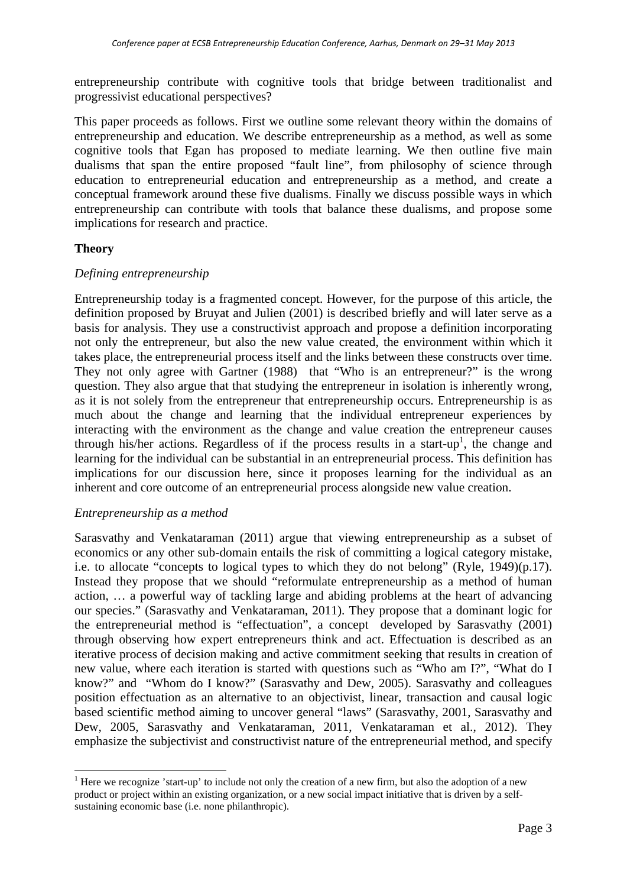entrepreneurship contribute with cognitive tools that bridge between traditionalist and progressivist educational perspectives?

This paper proceeds as follows. First we outline some relevant theory within the domains of entrepreneurship and education. We describe entrepreneurship as a method, as well as some cognitive tools that Egan has proposed to mediate learning. We then outline five main dualisms that span the entire proposed "fault line", from philosophy of science through education to entrepreneurial education and entrepreneurship as a method, and create a conceptual framework around these five dualisms. Finally we discuss possible ways in which entrepreneurship can contribute with tools that balance these dualisms, and propose some implications for research and practice.

# **Theory**

#### *Defining entrepreneurship*

Entrepreneurship today is a fragmented concept. However, for the purpose of this article, the definition proposed by Bruyat and Julien (2001) is described briefly and will later serve as a basis for analysis. They use a constructivist approach and propose a definition incorporating not only the entrepreneur, but also the new value created, the environment within which it takes place, the entrepreneurial process itself and the links between these constructs over time. They not only agree with Gartner (1988) that "Who is an entrepreneur?" is the wrong question. They also argue that that studying the entrepreneur in isolation is inherently wrong, as it is not solely from the entrepreneur that entrepreneurship occurs. Entrepreneurship is as much about the change and learning that the individual entrepreneur experiences by interacting with the environment as the change and value creation the entrepreneur causes through his/her actions. Regardless of if the process results in a start-up<sup>1</sup>, the change and learning for the individual can be substantial in an entrepreneurial process. This definition has implications for our discussion here, since it proposes learning for the individual as an inherent and core outcome of an entrepreneurial process alongside new value creation.

#### *Entrepreneurship as a method*

Sarasvathy and Venkataraman (2011) argue that viewing entrepreneurship as a subset of economics or any other sub-domain entails the risk of committing a logical category mistake, i.e. to allocate "concepts to logical types to which they do not belong" (Ryle, 1949)(p.17). Instead they propose that we should "reformulate entrepreneurship as a method of human action, … a powerful way of tackling large and abiding problems at the heart of advancing our species." (Sarasvathy and Venkataraman, 2011). They propose that a dominant logic for the entrepreneurial method is "effectuation", a concept developed by Sarasvathy (2001) through observing how expert entrepreneurs think and act. Effectuation is described as an iterative process of decision making and active commitment seeking that results in creation of new value, where each iteration is started with questions such as "Who am I?", "What do I know?" and "Whom do I know?" (Sarasvathy and Dew, 2005). Sarasvathy and colleagues position effectuation as an alternative to an objectivist, linear, transaction and causal logic based scientific method aiming to uncover general "laws" (Sarasvathy, 2001, Sarasvathy and Dew, 2005, Sarasvathy and Venkataraman, 2011, Venkataraman et al., 2012). They emphasize the subjectivist and constructivist nature of the entrepreneurial method, and specify

<sup>&</sup>lt;sup>1</sup> Here we recognize 'start-up' to include not only the creation of a new firm, but also the adoption of a new product or project within an existing organization, or a new social impact initiative that is driven by a selfsustaining economic base (i.e. none philanthropic).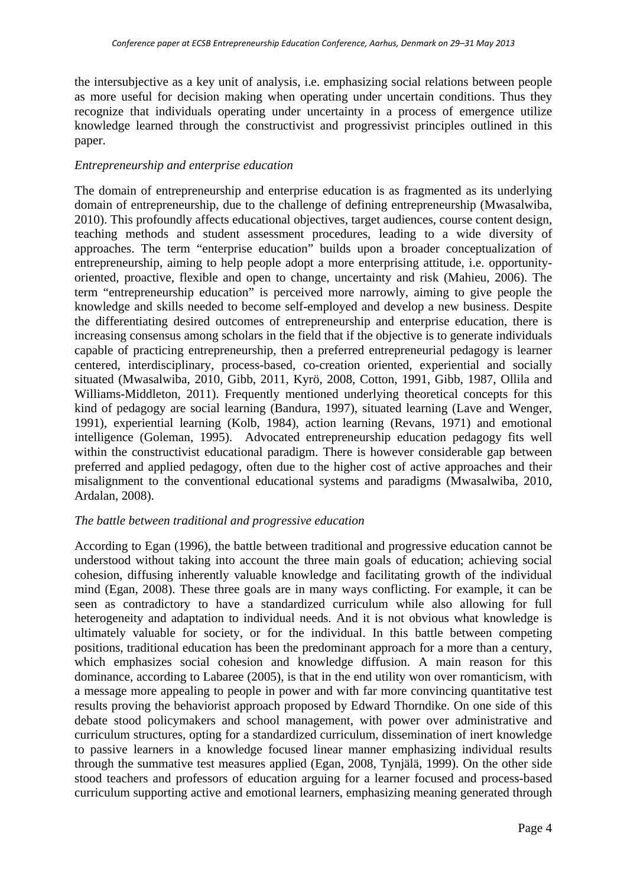the intersubjective as a key unit of analysis, i.e. emphasizing social relations between people as more useful for decision making when operating under uncertain conditions. Thus they recognize that individuals operating under uncertainty in a process of emergence utilize knowledge learned through the constructivist and progressivist principles outlined in this paper.

# *Entrepreneurship and enterprise education*

The domain of entrepreneurship and enterprise education is as fragmented as its underlying domain of entrepreneurship, due to the challenge of defining entrepreneurship (Mwasalwiba, 2010). This profoundly affects educational objectives, target audiences, course content design, teaching methods and student assessment procedures, leading to a wide diversity of approaches. The term "enterprise education" builds upon a broader conceptualization of entrepreneurship, aiming to help people adopt a more enterprising attitude, i.e. opportunityoriented, proactive, flexible and open to change, uncertainty and risk (Mahieu, 2006). The term "entrepreneurship education" is perceived more narrowly, aiming to give people the knowledge and skills needed to become self-employed and develop a new business. Despite the differentiating desired outcomes of entrepreneurship and enterprise education, there is increasing consensus among scholars in the field that if the objective is to generate individuals capable of practicing entrepreneurship, then a preferred entrepreneurial pedagogy is learner centered, interdisciplinary, process-based, co-creation oriented, experiential and socially situated (Mwasalwiba, 2010, Gibb, 2011, Kyrö, 2008, Cotton, 1991, Gibb, 1987, Ollila and Williams-Middleton, 2011). Frequently mentioned underlying theoretical concepts for this kind of pedagogy are social learning (Bandura, 1997), situated learning (Lave and Wenger, 1991), experiential learning (Kolb, 1984), action learning (Revans, 1971) and emotional intelligence (Goleman, 1995). Advocated entrepreneurship education pedagogy fits well within the constructivist educational paradigm. There is however considerable gap between preferred and applied pedagogy, often due to the higher cost of active approaches and their misalignment to the conventional educational systems and paradigms (Mwasalwiba, 2010, Ardalan, 2008).

# *The battle between traditional and progressive education*

According to Egan (1996), the battle between traditional and progressive education cannot be understood without taking into account the three main goals of education; achieving social cohesion, diffusing inherently valuable knowledge and facilitating growth of the individual mind (Egan, 2008). These three goals are in many ways conflicting. For example, it can be seen as contradictory to have a standardized curriculum while also allowing for full heterogeneity and adaptation to individual needs. And it is not obvious what knowledge is ultimately valuable for society, or for the individual. In this battle between competing positions, traditional education has been the predominant approach for a more than a century, which emphasizes social cohesion and knowledge diffusion. A main reason for this dominance, according to Labaree (2005), is that in the end utility won over romanticism, with a message more appealing to people in power and with far more convincing quantitative test results proving the behaviorist approach proposed by Edward Thorndike. On one side of this debate stood policymakers and school management, with power over administrative and curriculum structures, opting for a standardized curriculum, dissemination of inert knowledge to passive learners in a knowledge focused linear manner emphasizing individual results through the summative test measures applied (Egan, 2008, Tynjälä, 1999). On the other side stood teachers and professors of education arguing for a learner focused and process-based curriculum supporting active and emotional learners, emphasizing meaning generated through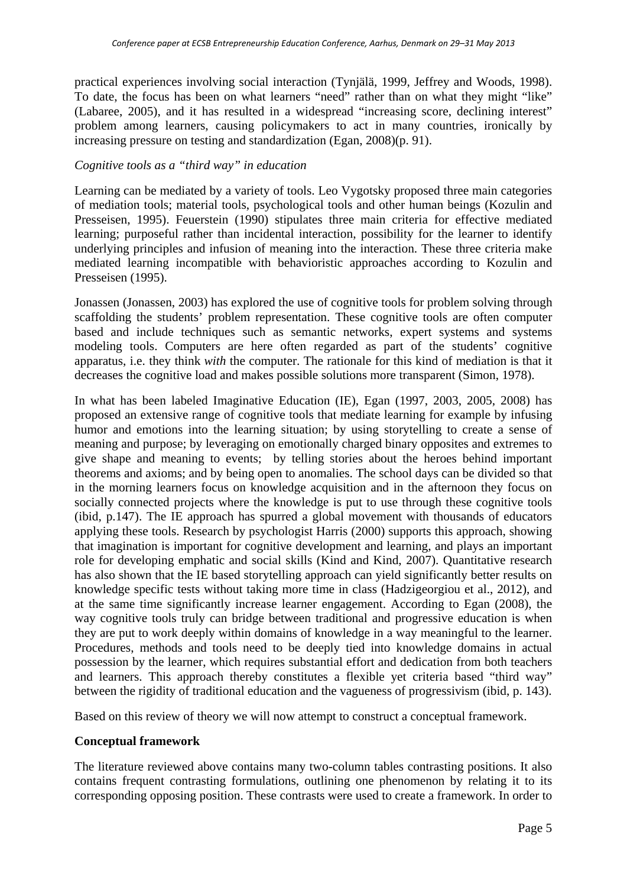practical experiences involving social interaction (Tynjälä, 1999, Jeffrey and Woods, 1998). To date, the focus has been on what learners "need" rather than on what they might "like" (Labaree, 2005), and it has resulted in a widespread "increasing score, declining interest" problem among learners, causing policymakers to act in many countries, ironically by increasing pressure on testing and standardization (Egan, 2008)(p. 91).

## *Cognitive tools as a "third way" in education*

Learning can be mediated by a variety of tools. Leo Vygotsky proposed three main categories of mediation tools; material tools, psychological tools and other human beings (Kozulin and Presseisen, 1995). Feuerstein (1990) stipulates three main criteria for effective mediated learning; purposeful rather than incidental interaction, possibility for the learner to identify underlying principles and infusion of meaning into the interaction. These three criteria make mediated learning incompatible with behavioristic approaches according to Kozulin and Presseisen (1995).

Jonassen (Jonassen, 2003) has explored the use of cognitive tools for problem solving through scaffolding the students' problem representation. These cognitive tools are often computer based and include techniques such as semantic networks, expert systems and systems modeling tools. Computers are here often regarded as part of the students' cognitive apparatus, i.e. they think *with* the computer. The rationale for this kind of mediation is that it decreases the cognitive load and makes possible solutions more transparent (Simon, 1978).

In what has been labeled Imaginative Education (IE), Egan (1997, 2003, 2005, 2008) has proposed an extensive range of cognitive tools that mediate learning for example by infusing humor and emotions into the learning situation; by using storytelling to create a sense of meaning and purpose; by leveraging on emotionally charged binary opposites and extremes to give shape and meaning to events; by telling stories about the heroes behind important theorems and axioms; and by being open to anomalies. The school days can be divided so that in the morning learners focus on knowledge acquisition and in the afternoon they focus on socially connected projects where the knowledge is put to use through these cognitive tools (ibid, p.147). The IE approach has spurred a global movement with thousands of educators applying these tools. Research by psychologist Harris (2000) supports this approach, showing that imagination is important for cognitive development and learning, and plays an important role for developing emphatic and social skills (Kind and Kind, 2007). Quantitative research has also shown that the IE based storytelling approach can yield significantly better results on knowledge specific tests without taking more time in class (Hadzigeorgiou et al., 2012), and at the same time significantly increase learner engagement. According to Egan (2008), the way cognitive tools truly can bridge between traditional and progressive education is when they are put to work deeply within domains of knowledge in a way meaningful to the learner. Procedures, methods and tools need to be deeply tied into knowledge domains in actual possession by the learner, which requires substantial effort and dedication from both teachers and learners. This approach thereby constitutes a flexible yet criteria based "third way" between the rigidity of traditional education and the vagueness of progressivism (ibid, p. 143).

Based on this review of theory we will now attempt to construct a conceptual framework.

#### **Conceptual framework**

The literature reviewed above contains many two-column tables contrasting positions. It also contains frequent contrasting formulations, outlining one phenomenon by relating it to its corresponding opposing position. These contrasts were used to create a framework. In order to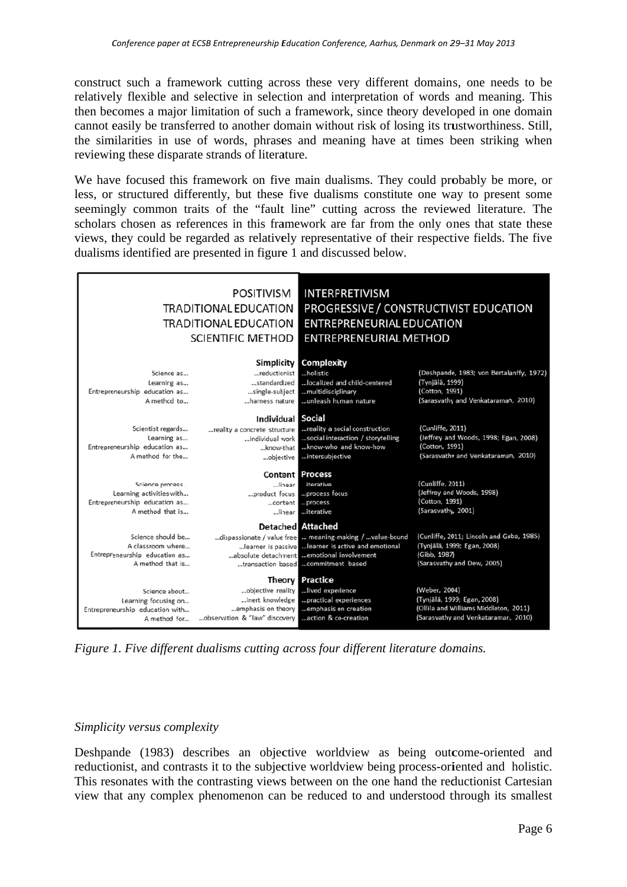construct such a framework cutting across these very different domains, one needs to be relatively flexible and selective in selection and interpretation of words and meaning. This then becomes a major limitation of such a framework, since theory developed in one domain cannot easily be transferred to another domain without risk of losing its trustworthiness. Still, the similarities in use of words, phrases and meaning have at times been striking when reviewing these disparate strands of literature.

We have focused this framework on five main dualisms. They could probably be more, or less, or structured differently, but these five dualisms constitute one way to present some seemingly common traits of the "fault line" cutting across the reviewed literature. The scholars chosen as references in this framework are far from the only ones that state these views, they could be regarded as relatively representative of their respective fields. The five dualisms identified are presented in figure 1 and discussed below.

| <b>POSITIVISM</b><br><b>TRADITIONAL EDUCATION</b><br><b>TRADITIONAL EDUCATION</b><br><b>SCIENTIFIC METHOD</b> |                                                                                                         | <b>INTERPRETIVISM</b><br>PROGRESSIVE / CONSTRUCTIVIST EDUCATION<br><b>ENTREPRENEURIAL EDUCATION</b><br><b>ENTREPRENEURIAL METHOD</b>                                                               |                                                                                                                              |
|---------------------------------------------------------------------------------------------------------------|---------------------------------------------------------------------------------------------------------|----------------------------------------------------------------------------------------------------------------------------------------------------------------------------------------------------|------------------------------------------------------------------------------------------------------------------------------|
| Science as<br>Learning as<br>Entrepreneurship education as<br>A method to                                     | Simplicity<br>reductionist<br>standardized<br>single-subject<br>harness nature                          | Complexity<br>holistic<br>localized and child-centered<br>multidisciplinary<br>unleash human nature                                                                                                | (Deshpande, 1983; von Bertalanffy, 1972)<br>(Tynjälä, 1999)<br>(Cotton, 1991)<br>(Sarasvathy and Venkataraman, 2010)         |
| Scientist regards<br>Learning as<br>Entrepreneurship education as<br>A method for the                         | <b>Individual Social</b><br>reality a concrete structure<br>individual work<br>know-that<br>objective   | reality a social construction<br>social interaction / storytelling<br>know-who and know-how<br>intersubjective                                                                                     | (Cunliffe, 2011)<br>(Jeffrey and Woods, 1998; Egan, 2008)<br>(Cotton, 1991)<br>(Sarasvathy and Venkataraman, 2010)           |
| Science process<br>Learning activities with<br>Entrepreneurship education as<br>A method that is              | Content<br>linear l<br>product focus<br>content<br>linear l                                             | <b>Process</b><br>iterative<br>process focus<br>process<br>iterative                                                                                                                               | (Cunliffe, 2011)<br>(Jeffrey and Woods, 1998)<br>(Cotton, 1991)<br>(Sarasvathy, 2001)                                        |
| Science should be<br>A classroom where<br>Entrepreneurship education as<br>A method that is                   | <b>Detached Attached</b>                                                                                | dispassionate / value free  meaning-making / value-bound<br>learner is passive  learner is active and emotional<br>absolute detachment emotional involvement<br>transaction based commitment based | (Cunliffe, 2011; Lincoln and Guba, 1985)<br>(Tynjälä, 1999; Egan, 2008)<br>(Gibb, 1987)<br>(Sarasvathy and Dew, 2005)        |
| Science about<br>Learning focusing on<br>Entrepreneurship education with<br>A method for                      | Theory I<br>objective reality<br>inert knowledge<br>emphasis on theory<br>observation & "law" discovery | <b>Practice</b><br>lived experience<br>practical experiences<br>emphasis on creation<br>action & co-creation                                                                                       | (Weber, 2004)<br>(Tynjälä, 1999; Egan, 2008)<br>(Ollila and Williams Middleton, 2011)<br>(Sarasvathy and Venkataraman, 2010) |

*Figure 1. Five different dualisms cutting across four different literature domains.* 

#### Simplicity versus complexity

Deshpande (1983) describes an objective worldview as being outcome-oriented and reductionist, and contrasts it to the subjective worldview being process-oriented and holistic. This resonates with the contrasting views between on the one hand the reductionist Cartesian view that any complex phenomenon can be reduced to and understood through its smallest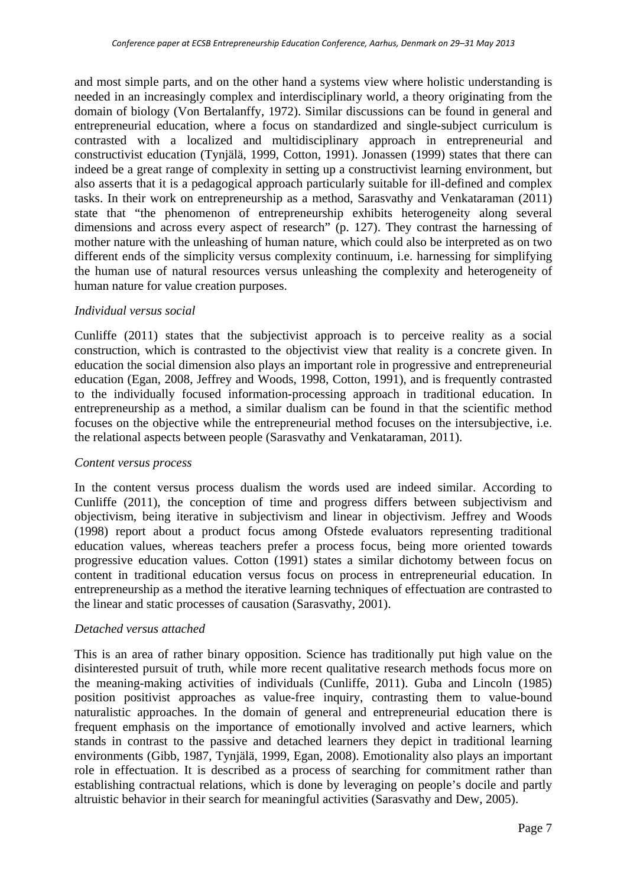and most simple parts, and on the other hand a systems view where holistic understanding is needed in an increasingly complex and interdisciplinary world, a theory originating from the domain of biology (Von Bertalanffy, 1972). Similar discussions can be found in general and entrepreneurial education, where a focus on standardized and single-subject curriculum is contrasted with a localized and multidisciplinary approach in entrepreneurial and constructivist education (Tynjälä, 1999, Cotton, 1991). Jonassen (1999) states that there can indeed be a great range of complexity in setting up a constructivist learning environment, but also asserts that it is a pedagogical approach particularly suitable for ill-defined and complex tasks. In their work on entrepreneurship as a method, Sarasvathy and Venkataraman (2011) state that "the phenomenon of entrepreneurship exhibits heterogeneity along several dimensions and across every aspect of research" (p. 127). They contrast the harnessing of mother nature with the unleashing of human nature, which could also be interpreted as on two different ends of the simplicity versus complexity continuum, i.e. harnessing for simplifying the human use of natural resources versus unleashing the complexity and heterogeneity of human nature for value creation purposes.

#### *Individual versus social*

Cunliffe (2011) states that the subjectivist approach is to perceive reality as a social construction, which is contrasted to the objectivist view that reality is a concrete given. In education the social dimension also plays an important role in progressive and entrepreneurial education (Egan, 2008, Jeffrey and Woods, 1998, Cotton, 1991), and is frequently contrasted to the individually focused information-processing approach in traditional education. In entrepreneurship as a method, a similar dualism can be found in that the scientific method focuses on the objective while the entrepreneurial method focuses on the intersubjective, i.e. the relational aspects between people (Sarasvathy and Venkataraman, 2011).

#### *Content versus process*

In the content versus process dualism the words used are indeed similar. According to Cunliffe (2011), the conception of time and progress differs between subjectivism and objectivism, being iterative in subjectivism and linear in objectivism. Jeffrey and Woods (1998) report about a product focus among Ofstede evaluators representing traditional education values, whereas teachers prefer a process focus, being more oriented towards progressive education values. Cotton (1991) states a similar dichotomy between focus on content in traditional education versus focus on process in entrepreneurial education. In entrepreneurship as a method the iterative learning techniques of effectuation are contrasted to the linear and static processes of causation (Sarasvathy, 2001).

#### *Detached versus attached*

This is an area of rather binary opposition. Science has traditionally put high value on the disinterested pursuit of truth, while more recent qualitative research methods focus more on the meaning-making activities of individuals (Cunliffe, 2011). Guba and Lincoln (1985) position positivist approaches as value-free inquiry, contrasting them to value-bound naturalistic approaches. In the domain of general and entrepreneurial education there is frequent emphasis on the importance of emotionally involved and active learners, which stands in contrast to the passive and detached learners they depict in traditional learning environments (Gibb, 1987, Tynjälä, 1999, Egan, 2008). Emotionality also plays an important role in effectuation. It is described as a process of searching for commitment rather than establishing contractual relations, which is done by leveraging on people's docile and partly altruistic behavior in their search for meaningful activities (Sarasvathy and Dew, 2005).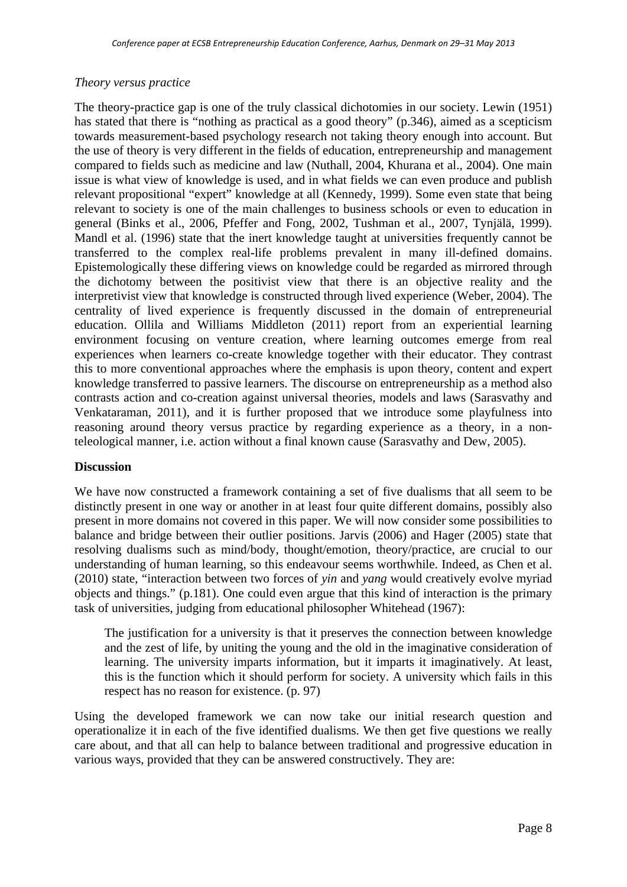#### *Theory versus practice*

The theory-practice gap is one of the truly classical dichotomies in our society. Lewin (1951) has stated that there is "nothing as practical as a good theory" (p.346), aimed as a scepticism towards measurement-based psychology research not taking theory enough into account. But the use of theory is very different in the fields of education, entrepreneurship and management compared to fields such as medicine and law (Nuthall, 2004, Khurana et al., 2004). One main issue is what view of knowledge is used, and in what fields we can even produce and publish relevant propositional "expert" knowledge at all (Kennedy, 1999). Some even state that being relevant to society is one of the main challenges to business schools or even to education in general (Binks et al., 2006, Pfeffer and Fong, 2002, Tushman et al., 2007, Tynjälä, 1999). Mandl et al. (1996) state that the inert knowledge taught at universities frequently cannot be transferred to the complex real-life problems prevalent in many ill-defined domains. Epistemologically these differing views on knowledge could be regarded as mirrored through the dichotomy between the positivist view that there is an objective reality and the interpretivist view that knowledge is constructed through lived experience (Weber, 2004). The centrality of lived experience is frequently discussed in the domain of entrepreneurial education. Ollila and Williams Middleton (2011) report from an experiential learning environment focusing on venture creation, where learning outcomes emerge from real experiences when learners co-create knowledge together with their educator. They contrast this to more conventional approaches where the emphasis is upon theory, content and expert knowledge transferred to passive learners. The discourse on entrepreneurship as a method also contrasts action and co-creation against universal theories, models and laws (Sarasvathy and Venkataraman, 2011), and it is further proposed that we introduce some playfulness into reasoning around theory versus practice by regarding experience as a theory, in a nonteleological manner, i.e. action without a final known cause (Sarasvathy and Dew, 2005).

#### **Discussion**

We have now constructed a framework containing a set of five dualisms that all seem to be distinctly present in one way or another in at least four quite different domains, possibly also present in more domains not covered in this paper. We will now consider some possibilities to balance and bridge between their outlier positions. Jarvis (2006) and Hager (2005) state that resolving dualisms such as mind/body, thought/emotion, theory/practice, are crucial to our understanding of human learning, so this endeavour seems worthwhile. Indeed, as Chen et al. (2010) state, "interaction between two forces of *yin* and *yang* would creatively evolve myriad objects and things." (p.181). One could even argue that this kind of interaction is the primary task of universities, judging from educational philosopher Whitehead (1967):

The justification for a university is that it preserves the connection between knowledge and the zest of life, by uniting the young and the old in the imaginative consideration of learning. The university imparts information, but it imparts it imaginatively. At least, this is the function which it should perform for society. A university which fails in this respect has no reason for existence. (p. 97)

Using the developed framework we can now take our initial research question and operationalize it in each of the five identified dualisms. We then get five questions we really care about, and that all can help to balance between traditional and progressive education in various ways, provided that they can be answered constructively. They are: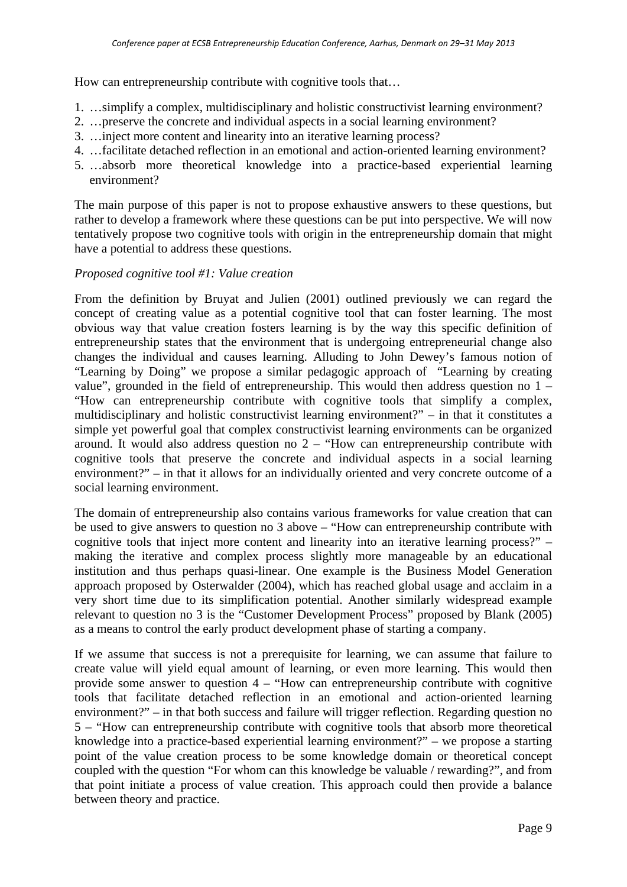How can entrepreneurship contribute with cognitive tools that…

- 1. …simplify a complex, multidisciplinary and holistic constructivist learning environment?
- 2. …preserve the concrete and individual aspects in a social learning environment?
- 3. …inject more content and linearity into an iterative learning process?
- 4. …facilitate detached reflection in an emotional and action-oriented learning environment?
- 5. …absorb more theoretical knowledge into a practice-based experiential learning environment?

The main purpose of this paper is not to propose exhaustive answers to these questions, but rather to develop a framework where these questions can be put into perspective. We will now tentatively propose two cognitive tools with origin in the entrepreneurship domain that might have a potential to address these questions.

#### *Proposed cognitive tool #1: Value creation*

From the definition by Bruyat and Julien (2001) outlined previously we can regard the concept of creating value as a potential cognitive tool that can foster learning. The most obvious way that value creation fosters learning is by the way this specific definition of entrepreneurship states that the environment that is undergoing entrepreneurial change also changes the individual and causes learning. Alluding to John Dewey's famous notion of "Learning by Doing" we propose a similar pedagogic approach of "Learning by creating value", grounded in the field of entrepreneurship. This would then address question no 1 – "How can entrepreneurship contribute with cognitive tools that simplify a complex, multidisciplinary and holistic constructivist learning environment?" – in that it constitutes a simple yet powerful goal that complex constructivist learning environments can be organized around. It would also address question no  $2 -$  "How can entrepreneurship contribute with cognitive tools that preserve the concrete and individual aspects in a social learning environment?" – in that it allows for an individually oriented and very concrete outcome of a social learning environment.

The domain of entrepreneurship also contains various frameworks for value creation that can be used to give answers to question no 3 above – "How can entrepreneurship contribute with cognitive tools that inject more content and linearity into an iterative learning process?" – making the iterative and complex process slightly more manageable by an educational institution and thus perhaps quasi-linear. One example is the Business Model Generation approach proposed by Osterwalder (2004), which has reached global usage and acclaim in a very short time due to its simplification potential. Another similarly widespread example relevant to question no 3 is the "Customer Development Process" proposed by Blank (2005) as a means to control the early product development phase of starting a company.

If we assume that success is not a prerequisite for learning, we can assume that failure to create value will yield equal amount of learning, or even more learning. This would then provide some answer to question  $4 - "How can enter preneurship contribute with cognitive$ tools that facilitate detached reflection in an emotional and action-oriented learning environment?" – in that both success and failure will trigger reflection. Regarding question no 5 – "How can entrepreneurship contribute with cognitive tools that absorb more theoretical knowledge into a practice-based experiential learning environment?" – we propose a starting point of the value creation process to be some knowledge domain or theoretical concept coupled with the question "For whom can this knowledge be valuable / rewarding?", and from that point initiate a process of value creation. This approach could then provide a balance between theory and practice.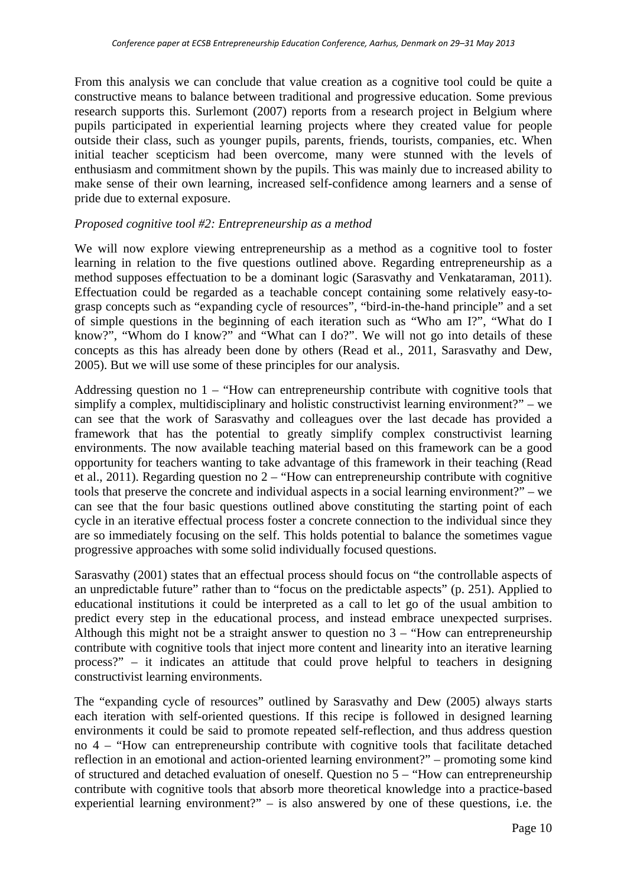From this analysis we can conclude that value creation as a cognitive tool could be quite a constructive means to balance between traditional and progressive education. Some previous research supports this. Surlemont (2007) reports from a research project in Belgium where pupils participated in experiential learning projects where they created value for people outside their class, such as younger pupils, parents, friends, tourists, companies, etc. When initial teacher scepticism had been overcome, many were stunned with the levels of enthusiasm and commitment shown by the pupils. This was mainly due to increased ability to make sense of their own learning, increased self-confidence among learners and a sense of pride due to external exposure.

# *Proposed cognitive tool #2: Entrepreneurship as a method*

We will now explore viewing entrepreneurship as a method as a cognitive tool to foster learning in relation to the five questions outlined above. Regarding entrepreneurship as a method supposes effectuation to be a dominant logic (Sarasvathy and Venkataraman, 2011). Effectuation could be regarded as a teachable concept containing some relatively easy-tograsp concepts such as "expanding cycle of resources", "bird-in-the-hand principle" and a set of simple questions in the beginning of each iteration such as "Who am I?", "What do I know?", "Whom do I know?" and "What can I do?". We will not go into details of these concepts as this has already been done by others (Read et al., 2011, Sarasvathy and Dew, 2005). But we will use some of these principles for our analysis.

Addressing question no  $1 -$  "How can entrepreneurship contribute with cognitive tools that simplify a complex, multidisciplinary and holistic constructivist learning environment?" – we can see that the work of Sarasvathy and colleagues over the last decade has provided a framework that has the potential to greatly simplify complex constructivist learning environments. The now available teaching material based on this framework can be a good opportunity for teachers wanting to take advantage of this framework in their teaching (Read et al., 2011). Regarding question no 2 – "How can entrepreneurship contribute with cognitive tools that preserve the concrete and individual aspects in a social learning environment?" – we can see that the four basic questions outlined above constituting the starting point of each cycle in an iterative effectual process foster a concrete connection to the individual since they are so immediately focusing on the self. This holds potential to balance the sometimes vague progressive approaches with some solid individually focused questions.

Sarasvathy (2001) states that an effectual process should focus on "the controllable aspects of an unpredictable future" rather than to "focus on the predictable aspects" (p. 251). Applied to educational institutions it could be interpreted as a call to let go of the usual ambition to predict every step in the educational process, and instead embrace unexpected surprises. Although this might not be a straight answer to question no  $3 -$  "How can entrepreneurship contribute with cognitive tools that inject more content and linearity into an iterative learning process?" – it indicates an attitude that could prove helpful to teachers in designing constructivist learning environments.

The "expanding cycle of resources" outlined by Sarasvathy and Dew (2005) always starts each iteration with self-oriented questions. If this recipe is followed in designed learning environments it could be said to promote repeated self-reflection, and thus address question no 4 – "How can entrepreneurship contribute with cognitive tools that facilitate detached reflection in an emotional and action-oriented learning environment?" – promoting some kind of structured and detached evaluation of oneself. Question no 5 – "How can entrepreneurship contribute with cognitive tools that absorb more theoretical knowledge into a practice-based experiential learning environment?"  $-$  is also answered by one of these questions, i.e. the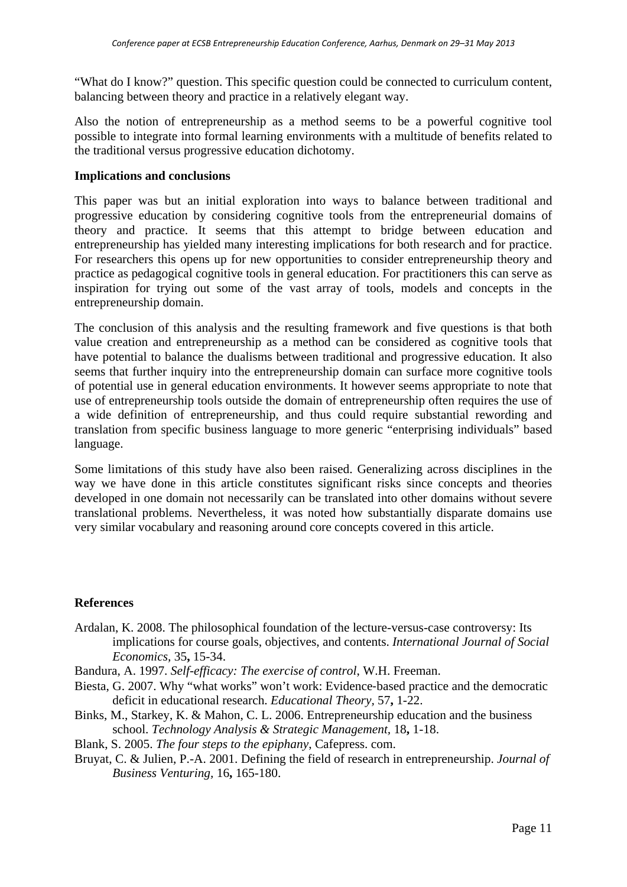"What do I know?" question. This specific question could be connected to curriculum content, balancing between theory and practice in a relatively elegant way.

Also the notion of entrepreneurship as a method seems to be a powerful cognitive tool possible to integrate into formal learning environments with a multitude of benefits related to the traditional versus progressive education dichotomy.

## **Implications and conclusions**

This paper was but an initial exploration into ways to balance between traditional and progressive education by considering cognitive tools from the entrepreneurial domains of theory and practice. It seems that this attempt to bridge between education and entrepreneurship has yielded many interesting implications for both research and for practice. For researchers this opens up for new opportunities to consider entrepreneurship theory and practice as pedagogical cognitive tools in general education. For practitioners this can serve as inspiration for trying out some of the vast array of tools, models and concepts in the entrepreneurship domain.

The conclusion of this analysis and the resulting framework and five questions is that both value creation and entrepreneurship as a method can be considered as cognitive tools that have potential to balance the dualisms between traditional and progressive education. It also seems that further inquiry into the entrepreneurship domain can surface more cognitive tools of potential use in general education environments. It however seems appropriate to note that use of entrepreneurship tools outside the domain of entrepreneurship often requires the use of a wide definition of entrepreneurship, and thus could require substantial rewording and translation from specific business language to more generic "enterprising individuals" based language.

Some limitations of this study have also been raised. Generalizing across disciplines in the way we have done in this article constitutes significant risks since concepts and theories developed in one domain not necessarily can be translated into other domains without severe translational problems. Nevertheless, it was noted how substantially disparate domains use very similar vocabulary and reasoning around core concepts covered in this article.

#### **References**

Ardalan, K. 2008. The philosophical foundation of the lecture-versus-case controversy: Its implications for course goals, objectives, and contents. *International Journal of Social Economics,* 35**,** 15-34.

Bandura, A. 1997. *Self-efficacy: The exercise of control*, W.H. Freeman.

- Biesta, G. 2007. Why "what works" won't work: Evidence-based practice and the democratic deficit in educational research. *Educational Theory,* 57**,** 1-22.
- Binks, M., Starkey, K. & Mahon, C. L. 2006. Entrepreneurship education and the business school. *Technology Analysis & Strategic Management,* 18**,** 1-18.
- Blank, S. 2005. *The four steps to the epiphany*, Cafepress. com.
- Bruyat, C. & Julien, P.-A. 2001. Defining the field of research in entrepreneurship. *Journal of Business Venturing,* 16**,** 165-180.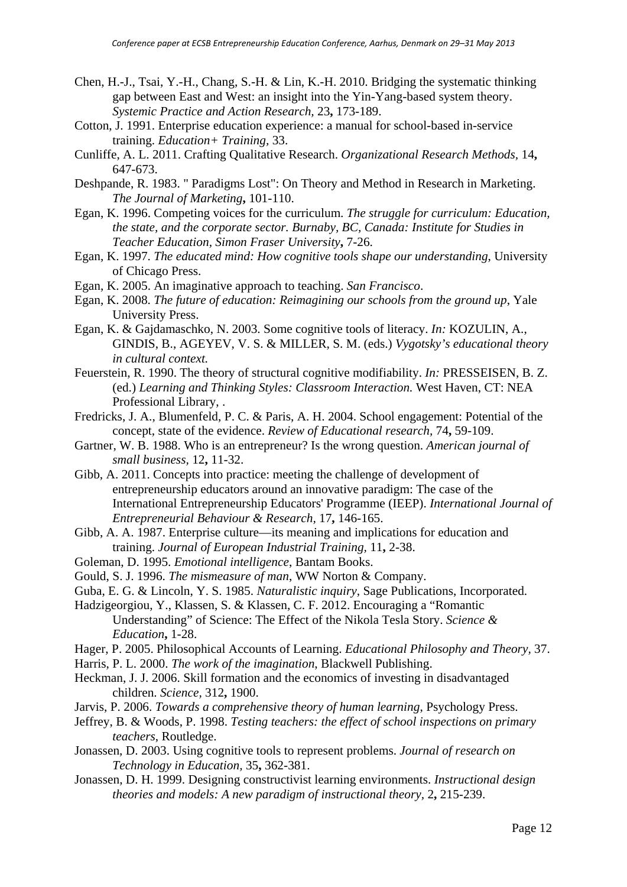- Chen, H.-J., Tsai, Y.-H., Chang, S.-H. & Lin, K.-H. 2010. Bridging the systematic thinking gap between East and West: an insight into the Yin-Yang-based system theory. *Systemic Practice and Action Research,* 23**,** 173-189.
- Cotton, J. 1991. Enterprise education experience: a manual for school-based in-service training. *Education+ Training,* 33.
- Cunliffe, A. L. 2011. Crafting Qualitative Research. *Organizational Research Methods,* 14**,** 647-673.
- Deshpande, R. 1983. " Paradigms Lost": On Theory and Method in Research in Marketing. *The Journal of Marketing***,** 101-110.
- Egan, K. 1996. Competing voices for the curriculum. *The struggle for curriculum: Education, the state, and the corporate sector. Burnaby, BC, Canada: Institute for Studies in Teacher Education, Simon Fraser University***,** 7-26.
- Egan, K. 1997. *The educated mind: How cognitive tools shape our understanding*, University of Chicago Press.
- Egan, K. 2005. An imaginative approach to teaching. *San Francisco*.
- Egan, K. 2008. *The future of education: Reimagining our schools from the ground up*, Yale University Press.
- Egan, K. & Gajdamaschko, N. 2003. Some cognitive tools of literacy. *In:* KOZULIN, A., GINDIS, B., AGEYEV, V. S. & MILLER, S. M. (eds.) *Vygotsky's educational theory in cultural context.*
- Feuerstein, R. 1990. The theory of structural cognitive modifiability. *In:* PRESSEISEN, B. Z. (ed.) *Learning and Thinking Styles: Classroom Interaction.* West Haven, CT: NEA Professional Library, .
- Fredricks, J. A., Blumenfeld, P. C. & Paris, A. H. 2004. School engagement: Potential of the concept, state of the evidence. *Review of Educational research,* 74**,** 59-109.
- Gartner, W. B. 1988. Who is an entrepreneur? Is the wrong question. *American journal of small business,* 12**,** 11-32.
- Gibb, A. 2011. Concepts into practice: meeting the challenge of development of entrepreneurship educators around an innovative paradigm: The case of the International Entrepreneurship Educators' Programme (IEEP). *International Journal of Entrepreneurial Behaviour & Research,* 17**,** 146-165.
- Gibb, A. A. 1987. Enterprise culture—its meaning and implications for education and training. *Journal of European Industrial Training,* 11**,** 2-38.
- Goleman, D. 1995. *Emotional intelligence*, Bantam Books.
- Gould, S. J. 1996. *The mismeasure of man*, WW Norton & Company.
- Guba, E. G. & Lincoln, Y. S. 1985. *Naturalistic inquiry*, Sage Publications, Incorporated.
- Hadzigeorgiou, Y., Klassen, S. & Klassen, C. F. 2012. Encouraging a "Romantic Understanding" of Science: The Effect of the Nikola Tesla Story. *Science & Education***,** 1-28.
- Hager, P. 2005. Philosophical Accounts of Learning. *Educational Philosophy and Theory,* 37.
- Harris, P. L. 2000. *The work of the imagination*, Blackwell Publishing.
- Heckman, J. J. 2006. Skill formation and the economics of investing in disadvantaged children. *Science,* 312**,** 1900.
- Jarvis, P. 2006. *Towards a comprehensive theory of human learning*, Psychology Press.
- Jeffrey, B. & Woods, P. 1998. *Testing teachers: the effect of school inspections on primary teachers*, Routledge.
- Jonassen, D. 2003. Using cognitive tools to represent problems. *Journal of research on Technology in Education,* 35**,** 362-381.
- Jonassen, D. H. 1999. Designing constructivist learning environments. *Instructional design theories and models: A new paradigm of instructional theory,* 2**,** 215-239.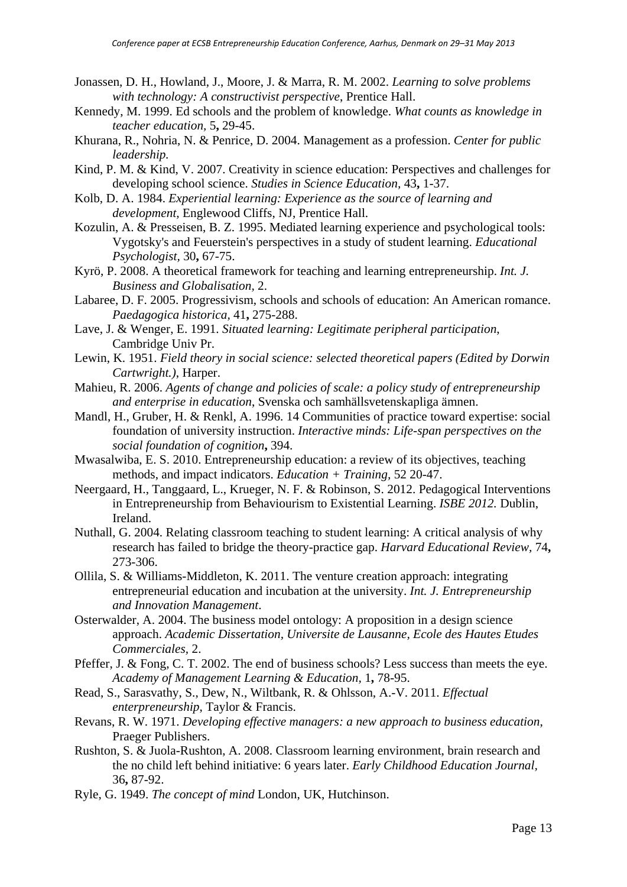- Jonassen, D. H., Howland, J., Moore, J. & Marra, R. M. 2002. *Learning to solve problems with technology: A constructivist perspective*, Prentice Hall.
- Kennedy, M. 1999. Ed schools and the problem of knowledge. *What counts as knowledge in teacher education,* 5**,** 29-45.
- Khurana, R., Nohria, N. & Penrice, D. 2004. Management as a profession. *Center for public leadership.*
- Kind, P. M. & Kind, V. 2007. Creativity in science education: Perspectives and challenges for developing school science. *Studies in Science Education,* 43**,** 1-37.
- Kolb, D. A. 1984. *Experiential learning: Experience as the source of learning and development,* Englewood Cliffs, NJ, Prentice Hall.
- Kozulin, A. & Presseisen, B. Z. 1995. Mediated learning experience and psychological tools: Vygotsky's and Feuerstein's perspectives in a study of student learning. *Educational Psychologist,* 30**,** 67-75.
- Kyrö, P. 2008. A theoretical framework for teaching and learning entrepreneurship. *Int. J. Business and Globalisation,* 2.
- Labaree, D. F. 2005. Progressivism, schools and schools of education: An American romance. *Paedagogica historica,* 41**,** 275-288.
- Lave, J. & Wenger, E. 1991. *Situated learning: Legitimate peripheral participation*, Cambridge Univ Pr.
- Lewin, K. 1951. *Field theory in social science: selected theoretical papers (Edited by Dorwin Cartwright.)*, Harper.
- Mahieu, R. 2006. *Agents of change and policies of scale: a policy study of entrepreneurship and enterprise in education*, Svenska och samhällsvetenskapliga ämnen.
- Mandl, H., Gruber, H. & Renkl, A. 1996. 14 Communities of practice toward expertise: social foundation of university instruction. *Interactive minds: Life-span perspectives on the social foundation of cognition***,** 394.
- Mwasalwiba, E. S. 2010. Entrepreneurship education: a review of its objectives, teaching methods, and impact indicators. *Education + Training,* 52 20-47.
- Neergaard, H., Tanggaard, L., Krueger, N. F. & Robinson, S. 2012. Pedagogical Interventions in Entrepreneurship from Behaviourism to Existential Learning. *ISBE 2012.* Dublin, Ireland.
- Nuthall, G. 2004. Relating classroom teaching to student learning: A critical analysis of why research has failed to bridge the theory-practice gap. *Harvard Educational Review,* 74**,** 273-306.
- Ollila, S. & Williams-Middleton, K. 2011. The venture creation approach: integrating entrepreneurial education and incubation at the university. *Int. J. Entrepreneurship and Innovation Management*.
- Osterwalder, A. 2004. The business model ontology: A proposition in a design science approach. *Academic Dissertation, Universite de Lausanne, Ecole des Hautes Etudes Commerciales,* 2.
- Pfeffer, J. & Fong, C. T. 2002. The end of business schools? Less success than meets the eye. *Academy of Management Learning & Education,* 1**,** 78-95.
- Read, S., Sarasvathy, S., Dew, N., Wiltbank, R. & Ohlsson, A.-V. 2011. *Effectual enterpreneurship*, Taylor & Francis.
- Revans, R. W. 1971. *Developing effective managers: a new approach to business education*, Praeger Publishers.
- Rushton, S. & Juola-Rushton, A. 2008. Classroom learning environment, brain research and the no child left behind initiative: 6 years later. *Early Childhood Education Journal,* 36**,** 87-92.
- Ryle, G. 1949. *The concept of mind* London, UK, Hutchinson.